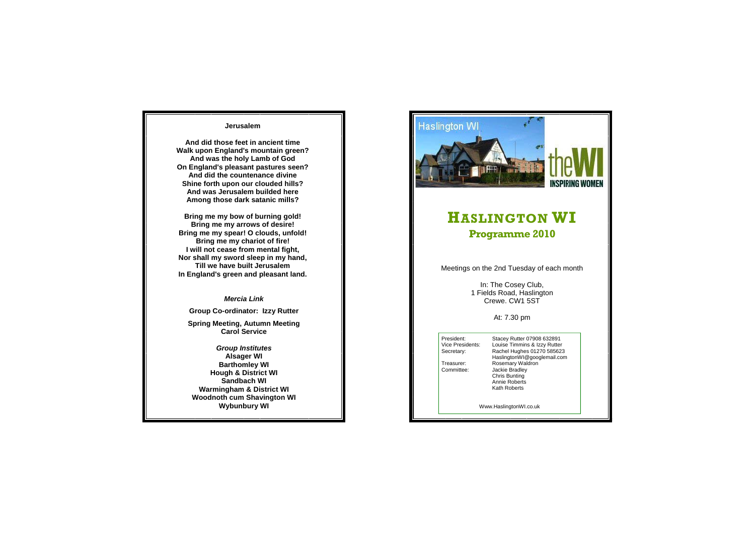## **Jerusalem**

**And did those feet in ancient time Walk upon England's mountain green? And was the holy Lamb of God On England's pleasant pastures seen? And did the countenance divine Shine forth upon our clouded hills? And was Jerusalem builded here Among those dark satanic mills?** 

**Bring me my bow of burning gold! Bring me my arrows of desire! Bring me my spear! O clouds, unfold! Bring me my chariot of fire! I will not cease from mental fight, Nor shall my sword sleep in my hand, Till we have built Jerusalem In England's green and pleasant land.**

## *Mercia Link*

**Group Co-ordinator: Izzy Rutter** 

**Spring Meeting, Autumn Meeting Carol Service** 

*Group Institutes*  **Alsager WI Barthomley WI Hough & District WI Sandbach WI Warmingham & District WI Woodnoth cum Shavington WI Wybunbury WI** 



## **HASLINGTON WI Programme 2010**

Meetings on the 2nd Tuesday of each month

In: The Cosey Club, 1 Fields Road, Haslington Crewe. CW1 5ST

At: 7.30 pm

President: Stacey Rutter 07908 632891<br>Vice Presidents: Louise Timmins & Izzy Rutter Vice Presidents: Louise Timmins & Izzy Rutter<br>Secretary: Rachel Hughes 01270 585623 Rachel Hughes 01270 585623 HaslingtonWI@googlemail.com<br>Treasurer: Rosemary Waldron Treasurer: Rosemary Waldron<br>
Committee: Jackie Bradley Jackie Bradley Chris Bunting Annie Roberts Kath Roberts

Www.HaslingtonWI.co.uk